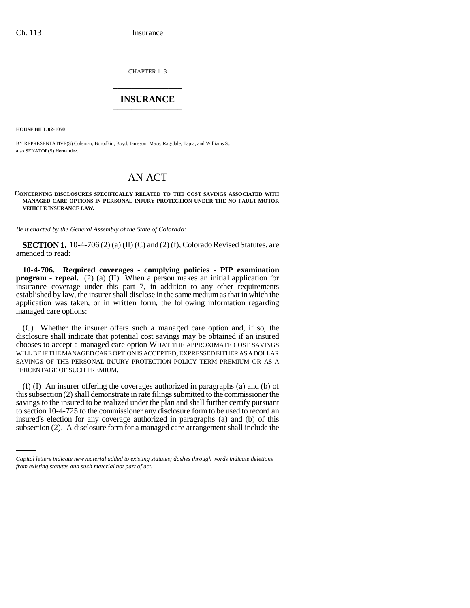CHAPTER 113 \_\_\_\_\_\_\_\_\_\_\_\_\_\_\_

## **INSURANCE** \_\_\_\_\_\_\_\_\_\_\_\_\_\_\_

**HOUSE BILL 02-1050**

BY REPRESENTATIVE(S) Coleman, Borodkin, Boyd, Jameson, Mace, Ragsdale, Tapia, and Williams S.; also SENATOR(S) Hernandez.

## AN ACT

**CONCERNING DISCLOSURES SPECIFICALLY RELATED TO THE COST SAVINGS ASSOCIATED WITH MANAGED CARE OPTIONS IN PERSONAL INJURY PROTECTION UNDER THE NO-FAULT MOTOR VEHICLE INSURANCE LAW.**

*Be it enacted by the General Assembly of the State of Colorado:*

**SECTION 1.** 10-4-706 (2) (a) (II) (C) and (2) (f), Colorado Revised Statutes, are amended to read:

**10-4-706. Required coverages - complying policies - PIP examination program - repeal.** (2) (a) (II) When a person makes an initial application for insurance coverage under this part 7, in addition to any other requirements established by law, the insurer shall disclose in the same medium as that in which the application was taken, or in written form, the following information regarding managed care options:

(C) Whether the insurer offers such a managed care option and, if so, the disclosure shall indicate that potential cost savings may be obtained if an insured chooses to accept a managed care option WHAT THE APPROXIMATE COST SAVINGS WILL BE IF THE MANAGED CARE OPTION IS ACCEPTED, EXPRESSED EITHER AS A DOLLAR SAVINGS OF THE PERSONAL INJURY PROTECTION POLICY TERM PREMIUM OR AS A PERCENTAGE OF SUCH PREMIUM.

to section 10-4-725 to the commissioner any disclosure form to be used to record an (f) (I) An insurer offering the coverages authorized in paragraphs (a) and (b) of this subsection (2) shall demonstrate in rate filings submitted to the commissioner the savings to the insured to be realized under the plan and shall further certify pursuant insured's election for any coverage authorized in paragraphs (a) and (b) of this subsection (2). A disclosure form for a managed care arrangement shall include the

*Capital letters indicate new material added to existing statutes; dashes through words indicate deletions from existing statutes and such material not part of act.*